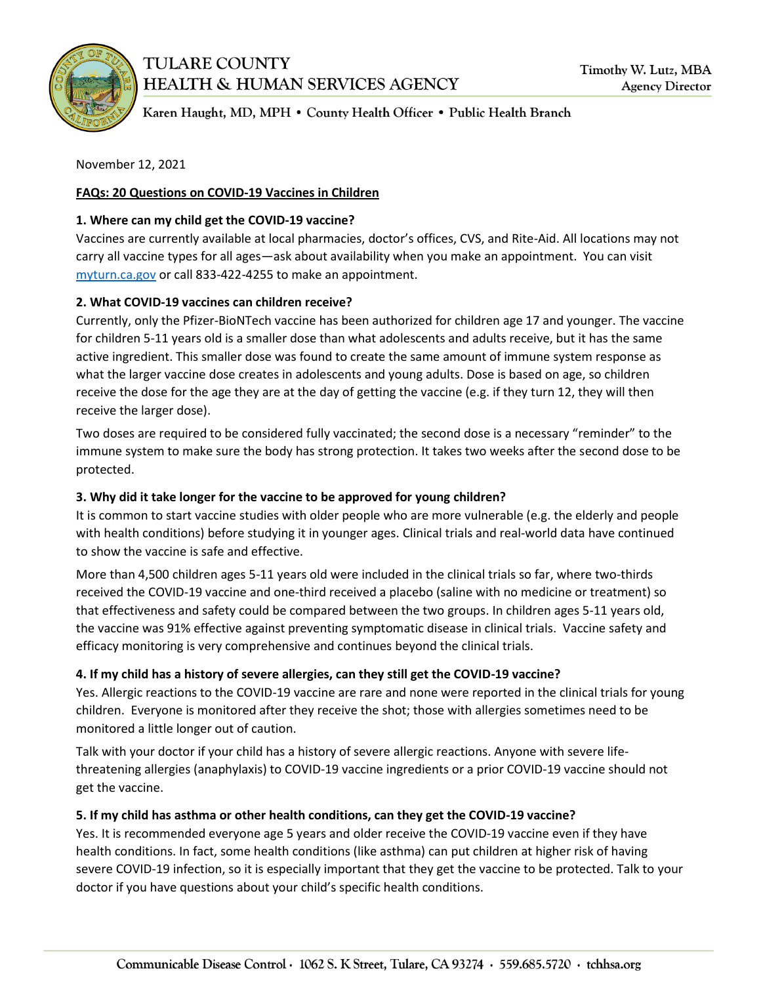

# **TULARE COUNTY HEALTH & HUMAN SERVICES AGENCY**

Karen Haught, MD, MPH . County Health Officer . Public Health Branch

November 12, 2021

## **FAQs: 20 Questions on COVID-19 Vaccines in Children**

#### **1. Where can my child get the COVID-19 vaccine?**

Vaccines are currently available at local pharmacies, doctor's offices, CVS, and Rite-Aid. All locations may not carry all vaccine types for all ages—ask about availability when you make an appointment. You can visit [myturn.ca.gov](http://myturn.ca.gov/) or call 833-422-4255 to make an appointment.

## **2. What COVID-19 vaccines can children receive?**

Currently, only the Pfizer-BioNTech vaccine has been authorized for children age 17 and younger. The vaccine for children 5-11 years old is a smaller dose than what adolescents and adults receive, but it has the same active ingredient. This smaller dose was found to create the same amount of immune system response as what the larger vaccine dose creates in adolescents and young adults. Dose is based on age, so children receive the dose for the age they are at the day of getting the vaccine (e.g. if they turn 12, they will then receive the larger dose).

Two doses are required to be considered fully vaccinated; the second dose is a necessary "reminder" to the immune system to make sure the body has strong protection. It takes two weeks after the second dose to be protected.

## **3. Why did it take longer for the vaccine to be approved for young children?**

It is common to start vaccine studies with older people who are more vulnerable (e.g. the elderly and people with health conditions) before studying it in younger ages. Clinical trials and real-world data have continued to show the vaccine is safe and effective.

More than 4,500 children ages 5-11 years old were included in the clinical trials so far, where two-thirds received the COVID-19 vaccine and one-third received a placebo (saline with no medicine or treatment) so that effectiveness and safety could be compared between the two groups. In children ages 5-11 years old, the vaccine was 91% effective against preventing symptomatic disease in clinical trials. Vaccine safety and efficacy monitoring is very comprehensive and continues beyond the clinical trials.

# **4. If my child has a history of severe allergies, can they still get the COVID-19 vaccine?**

Yes. Allergic reactions to the COVID-19 vaccine are rare and none were reported in the clinical trials for young children. Everyone is monitored after they receive the shot; those with allergies sometimes need to be monitored a little longer out of caution.

Talk with your doctor if your child has a history of severe allergic reactions. Anyone with severe lifethreatening allergies (anaphylaxis) to COVID-19 vaccine ingredients or a prior COVID-19 vaccine should not get the vaccine.

## **5. If my child has asthma or other health conditions, can they get the COVID-19 vaccine?**

Yes. It is recommended everyone age 5 years and older receive the COVID-19 vaccine even if they have health conditions. In fact, some health conditions (like asthma) can put children at higher risk of having severe COVID-19 infection, so it is especially important that they get the vaccine to be protected. Talk to your doctor if you have questions about your child's specific health conditions.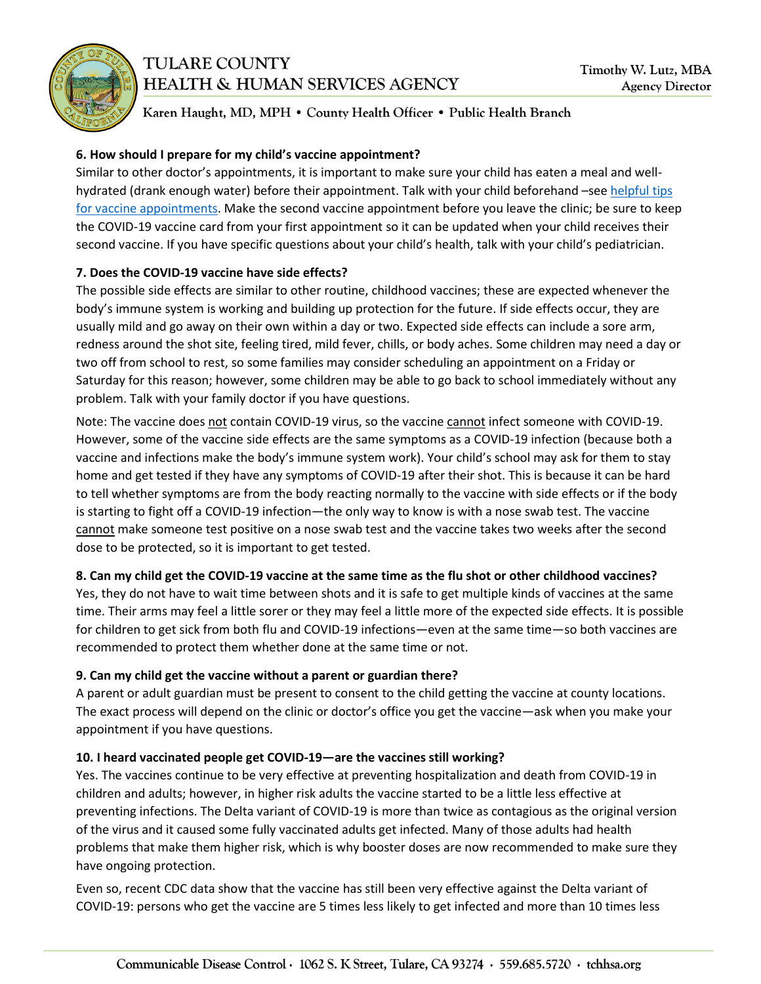



Karen Haught, MD, MPH . County Health Officer . Public Health Branch

#### **6. How should I prepare for my child's vaccine appointment?**

Similar to other doctor's appointments, it is important to make sure your child has eaten a meal and wellhydrated (drank enough water) before their appointment. Talk with your child beforehand –see helpful tips for vaccine [appointments.](https://healthychildren.org/English/safety-prevention/immunizations/Pages/Managing-Your-Childs-Pain-While-Getting-a-Shot.aspx) Make the second vaccine appointment before you leave the clinic; be sure to keep the COVID-19 vaccine card from your first appointment so it can be updated when your child receives their second vaccine. If you have specific questions about your child's health, talk with your child's pediatrician.

#### **7. Does the COVID-19 vaccine have side effects?**

The possible side effects are similar to other routine, childhood vaccines; these are expected whenever the body's immune system is working and building up protection for the future. If side effects occur, they are usually mild and go away on their own within a day or two. Expected side effects can include a sore arm, redness around the shot site, feeling tired, mild fever, chills, or body aches. Some children may need a day or two off from school to rest, so some families may consider scheduling an appointment on a Friday or Saturday for this reason; however, some children may be able to go back to school immediately without any problem. Talk with your family doctor if you have questions.

Note: The vaccine does not contain COVID-19 virus, so the vaccine cannot infect someone with COVID-19. However, some of the vaccine side effects are the same symptoms as a COVID-19 infection (because both a vaccine and infections make the body's immune system work). Your child's school may ask for them to stay home and get tested if they have any symptoms of COVID-19 after their shot. This is because it can be hard to tell whether symptoms are from the body reacting normally to the vaccine with side effects or if the body is starting to fight off a COVID-19 infection—the only way to know is with a nose swab test. The vaccine cannot make someone test positive on a nose swab test and the vaccine takes two weeks after the second dose to be protected, so it is important to get tested.

## **8. Can my child get the COVID-19 vaccine at the same time as the flu shot or other childhood vaccines?**

Yes, they do not have to wait time between shots and it is safe to get multiple kinds of vaccines at the same time. Their arms may feel a little sorer or they may feel a little more of the expected side effects. It is possible for children to get sick from both flu and COVID-19 infections—even at the same time—so both vaccines are recommended to protect them whether done at the same time or not.

## **9. Can my child get the vaccine without a parent or guardian there?**

A parent or adult guardian must be present to consent to the child getting the vaccine at county locations. The exact process will depend on the clinic or doctor's office you get the vaccine—ask when you make your appointment if you have questions.

## **10. I heard vaccinated people get COVID-19—are the vaccines still working?**

Yes. The vaccines continue to be very effective at preventing hospitalization and death from COVID-19 in children and adults; however, in higher risk adults the vaccine started to be a little less effective at preventing infections. The Delta variant of COVID-19 is more than twice as contagious as the original version of the virus and it caused some fully vaccinated adults get infected. Many of those adults had health problems that make them higher risk, which is why booster doses are now recommended to make sure they have ongoing protection.

Even so, recent CDC data show that the vaccine has still been very effective against the Delta variant of COVID-19: persons who get the vaccine are 5 times less likely to get infected and more than 10 times less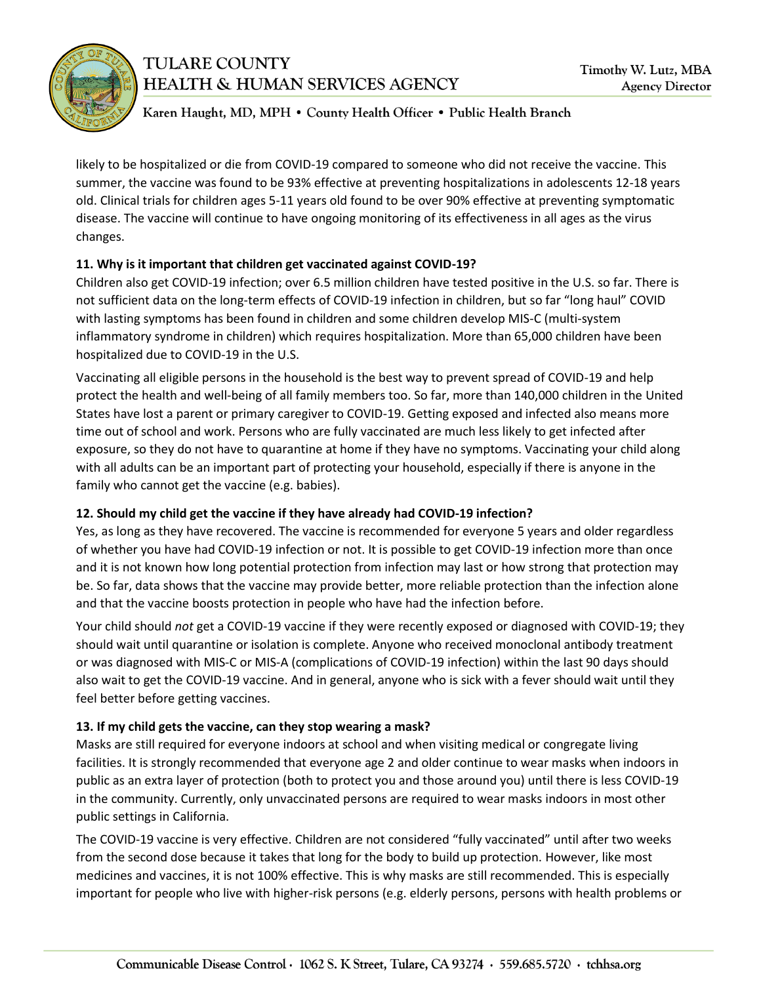

# **TULARE COUNTY HEALTH & HUMAN SERVICES AGENCY**

## Karen Haught, MD, MPH . County Health Officer . Public Health Branch

likely to be hospitalized or die from COVID-19 compared to someone who did not receive the vaccine. This summer, the vaccine was found to be 93% effective at preventing hospitalizations in adolescents 12-18 years old. Clinical trials for children ages 5-11 years old found to be over 90% effective at preventing symptomatic disease. The vaccine will continue to have ongoing monitoring of its effectiveness in all ages as the virus changes.

## **11. Why is it important that children get vaccinated against COVID-19?**

Children also get COVID-19 infection; over 6.5 million children have tested positive in the U.S. so far. There is not sufficient data on the long-term effects of COVID-19 infection in children, but so far "long haul" COVID with lasting symptoms has been found in children and some children develop MIS-C (multi-system inflammatory syndrome in children) which requires hospitalization. More than 65,000 children have been hospitalized due to COVID-19 in the U.S.

Vaccinating all eligible persons in the household is the best way to prevent spread of COVID-19 and help protect the health and well-being of all family members too. So far, more than 140,000 children in the United States have lost a parent or primary caregiver to COVID-19. Getting exposed and infected also means more time out of school and work. Persons who are fully vaccinated are much less likely to get infected after exposure, so they do not have to quarantine at home if they have no symptoms. Vaccinating your child along with all adults can be an important part of protecting your household, especially if there is anyone in the family who cannot get the vaccine (e.g. babies).

# **12. Should my child get the vaccine if they have already had COVID-19 infection?**

Yes, as long as they have recovered. The vaccine is recommended for everyone 5 years and older regardless of whether you have had COVID-19 infection or not. It is possible to get COVID-19 infection more than once and it is not known how long potential protection from infection may last or how strong that protection may be. So far, data shows that the vaccine may provide better, more reliable protection than the infection alone and that the vaccine boosts protection in people who have had the infection before.

Your child should *not* get a COVID-19 vaccine if they were recently exposed or diagnosed with COVID-19; they should wait until quarantine or isolation is complete. Anyone who received monoclonal antibody treatment or was diagnosed with MIS-C or MIS-A (complications of COVID-19 infection) within the last 90 days should also wait to get the COVID-19 vaccine. And in general, anyone who is sick with a fever should wait until they feel better before getting vaccines.

# **13. If my child gets the vaccine, can they stop wearing a mask?**

Masks are still required for everyone indoors at school and when visiting medical or congregate living facilities. It is strongly recommended that everyone age 2 and older continue to wear masks when indoors in public as an extra layer of protection (both to protect you and those around you) until there is less COVID-19 in the community. Currently, only unvaccinated persons are required to wear masks indoors in most other public settings in California.

The COVID-19 vaccine is very effective. Children are not considered "fully vaccinated" until after two weeks from the second dose because it takes that long for the body to build up protection. However, like most medicines and vaccines, it is not 100% effective. This is why masks are still recommended. This is especially important for people who live with higher-risk persons (e.g. elderly persons, persons with health problems or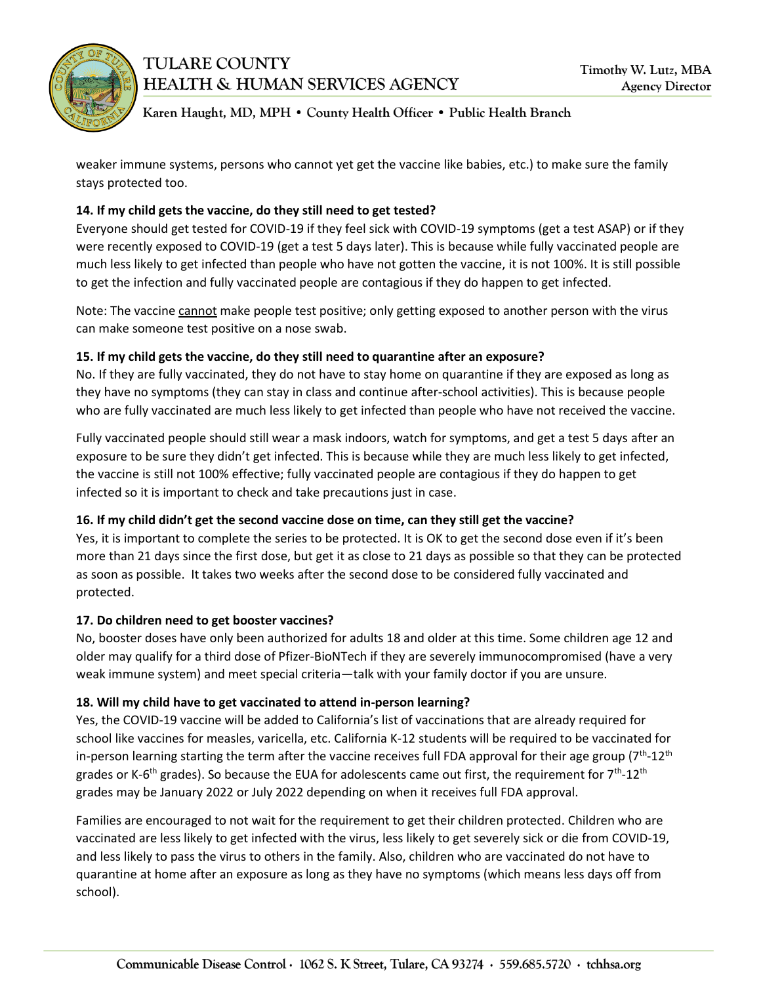

## Karen Haught, MD, MPH . County Health Officer . Public Health Branch

weaker immune systems, persons who cannot yet get the vaccine like babies, etc.) to make sure the family stays protected too.

## **14. If my child gets the vaccine, do they still need to get tested?**

Everyone should get tested for COVID-19 if they feel sick with COVID-19 symptoms (get a test ASAP) or if they were recently exposed to COVID-19 (get a test 5 days later). This is because while fully vaccinated people are much less likely to get infected than people who have not gotten the vaccine, it is not 100%. It is still possible to get the infection and fully vaccinated people are contagious if they do happen to get infected.

Note: The vaccine cannot make people test positive; only getting exposed to another person with the virus can make someone test positive on a nose swab.

## **15. If my child gets the vaccine, do they still need to quarantine after an exposure?**

No. If they are fully vaccinated, they do not have to stay home on quarantine if they are exposed as long as they have no symptoms (they can stay in class and continue after-school activities). This is because people who are fully vaccinated are much less likely to get infected than people who have not received the vaccine.

Fully vaccinated people should still wear a mask indoors, watch for symptoms, and get a test 5 days after an exposure to be sure they didn't get infected. This is because while they are much less likely to get infected, the vaccine is still not 100% effective; fully vaccinated people are contagious if they do happen to get infected so it is important to check and take precautions just in case.

# **16. If my child didn't get the second vaccine dose on time, can they still get the vaccine?**

Yes, it is important to complete the series to be protected. It is OK to get the second dose even if it's been more than 21 days since the first dose, but get it as close to 21 days as possible so that they can be protected as soon as possible. It takes two weeks after the second dose to be considered fully vaccinated and protected.

## **17. Do children need to get booster vaccines?**

No, booster doses have only been authorized for adults 18 and older at this time. Some children age 12 and older may qualify for a third dose of Pfizer-BioNTech if they are severely immunocompromised (have a very weak immune system) and meet special criteria—talk with your family doctor if you are unsure.

# **18. Will my child have to get vaccinated to attend in-person learning?**

Yes, the COVID-19 vaccine will be added to California's list of vaccinations that are already required for school like vaccines for measles, varicella, etc. California K-12 students will be required to be vaccinated for in-person learning starting the term after the vaccine receives full FDA approval for their age group (7<sup>th</sup>-12<sup>th</sup> grades or K-6<sup>th</sup> grades). So because the EUA for adolescents came out first, the requirement for 7<sup>th</sup>-12<sup>th</sup> grades may be January 2022 or July 2022 depending on when it receives full FDA approval.

Families are encouraged to not wait for the requirement to get their children protected. Children who are vaccinated are less likely to get infected with the virus, less likely to get severely sick or die from COVID-19, and less likely to pass the virus to others in the family. Also, children who are vaccinated do not have to quarantine at home after an exposure as long as they have no symptoms (which means less days off from school).